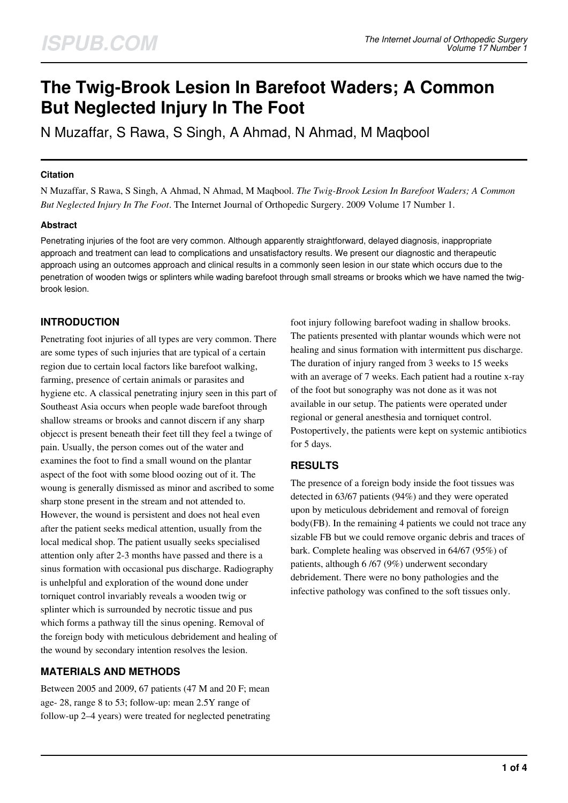# **The Twig-Brook Lesion In Barefoot Waders; A Common But Neglected Injury In The Foot**

N Muzaffar, S Rawa, S Singh, A Ahmad, N Ahmad, M Maqbool

### **Citation**

N Muzaffar, S Rawa, S Singh, A Ahmad, N Ahmad, M Maqbool. *The Twig-Brook Lesion In Barefoot Waders; A Common But Neglected Injury In The Foot*. The Internet Journal of Orthopedic Surgery. 2009 Volume 17 Number 1.

## **Abstract**

Penetrating injuries of the foot are very common. Although apparently straightforward, delayed diagnosis, inappropriate approach and treatment can lead to complications and unsatisfactory results. We present our diagnostic and therapeutic approach using an outcomes approach and clinical results in a commonly seen lesion in our state which occurs due to the penetration of wooden twigs or splinters while wading barefoot through small streams or brooks which we have named the twigbrook lesion.

## **INTRODUCTION**

Penetrating foot injuries of all types are very common. There are some types of such injuries that are typical of a certain region due to certain local factors like barefoot walking, farming, presence of certain animals or parasites and hygiene etc. A classical penetrating injury seen in this part of Southeast Asia occurs when people wade barefoot through shallow streams or brooks and cannot discern if any sharp objecct is present beneath their feet till they feel a twinge of pain. Usually, the person comes out of the water and examines the foot to find a small wound on the plantar aspect of the foot with some blood oozing out of it. The woung is generally dismissed as minor and ascribed to some sharp stone present in the stream and not attended to. However, the wound is persistent and does not heal even after the patient seeks medical attention, usually from the local medical shop. The patient usually seeks specialised attention only after 2-3 months have passed and there is a sinus formation with occasional pus discharge. Radiography is unhelpful and exploration of the wound done under torniquet control invariably reveals a wooden twig or splinter which is surrounded by necrotic tissue and pus which forms a pathway till the sinus opening. Removal of the foreign body with meticulous debridement and healing of the wound by secondary intention resolves the lesion.

## **MATERIALS AND METHODS**

Between 2005 and 2009, 67 patients (47 M and 20 F; mean age- 28, range 8 to 53; follow-up: mean 2.5Y range of follow-up 2–4 years) were treated for neglected penetrating foot injury following barefoot wading in shallow brooks. The patients presented with plantar wounds which were not healing and sinus formation with intermittent pus discharge. The duration of injury ranged from 3 weeks to 15 weeks with an average of 7 weeks. Each patient had a routine x-ray of the foot but sonography was not done as it was not available in our setup. The patients were operated under regional or general anesthesia and torniquet control. Postopertively, the patients were kept on systemic antibiotics for 5 days.

## **RESULTS**

The presence of a foreign body inside the foot tissues was detected in 63/67 patients (94%) and they were operated upon by meticulous debridement and removal of foreign body(FB). In the remaining 4 patients we could not trace any sizable FB but we could remove organic debris and traces of bark. Complete healing was observed in 64/67 (95%) of patients, although 6 /67 (9%) underwent secondary debridement. There were no bony pathologies and the infective pathology was confined to the soft tissues only.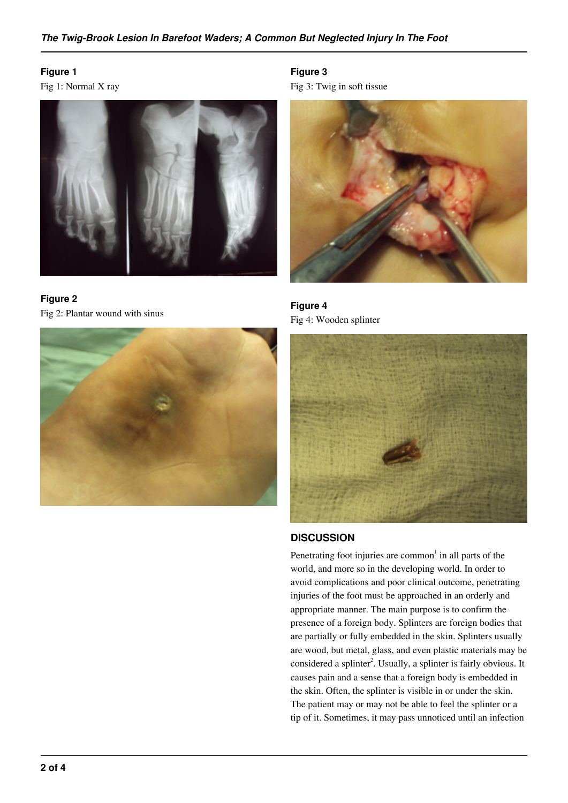## **Figure 1**

Fig 1: Normal X ray







**Figure 3** Fig 3: Twig in soft tissue



**Figure 4** Fig 4: Wooden splinter



## **DISCUSSION**

Penetrating foot injuries are common<sup>1</sup> in all parts of the world, and more so in the developing world. In order to avoid complications and poor clinical outcome, penetrating injuries of the foot must be approached in an orderly and appropriate manner. The main purpose is to confirm the presence of a foreign body. Splinters are foreign bodies that are partially or fully embedded in the skin. Splinters usually are wood, but metal, glass, and even plastic materials may be considered a splinter<sup>2</sup>. Usually, a splinter is fairly obvious. It causes pain and a sense that a foreign body is embedded in the skin. Often, the splinter is visible in or under the skin. The patient may or may not be able to feel the splinter or a tip of it. Sometimes, it may pass unnoticed until an infection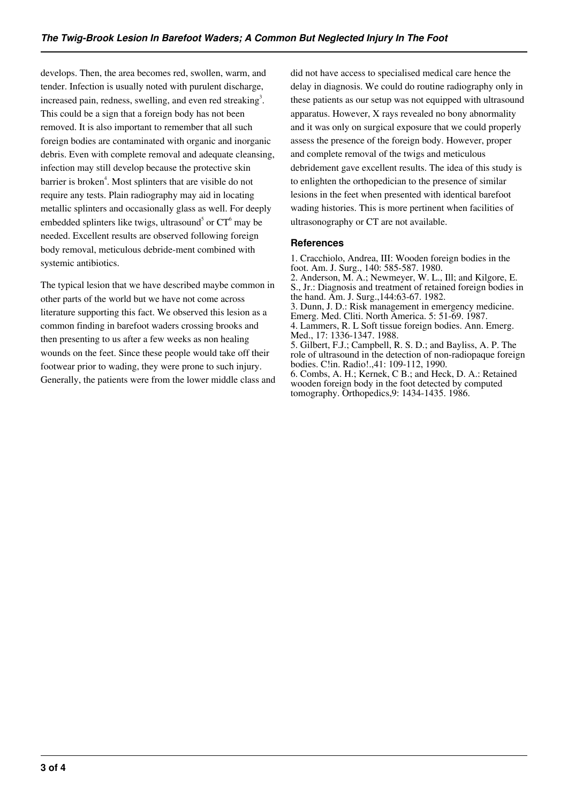develops. Then, the area becomes red, swollen, warm, and tender. Infection is usually noted with purulent discharge, increased pain, redness, swelling, and even red streaking<sup>3</sup>. This could be a sign that a foreign body has not been removed. It is also important to remember that all such foreign bodies are contaminated with organic and inorganic debris. Even with complete removal and adequate cleansing, infection may still develop because the protective skin barrier is broken<sup>4</sup>. Most splinters that are visible do not require any tests. Plain radiography may aid in locating metallic splinters and occasionally glass as well. For deeply embedded splinters like twigs, ultrasound<sup>5</sup> or  $CT^6$  may be needed. Excellent results are observed following foreign body removal, meticulous debride-ment combined with systemic antibiotics.

The typical lesion that we have described maybe common in other parts of the world but we have not come across literature supporting this fact. We observed this lesion as a common finding in barefoot waders crossing brooks and then presenting to us after a few weeks as non healing wounds on the feet. Since these people would take off their footwear prior to wading, they were prone to such injury. Generally, the patients were from the lower middle class and did not have access to specialised medical care hence the delay in diagnosis. We could do routine radiography only in these patients as our setup was not equipped with ultrasound apparatus. However, X rays revealed no bony abnormality and it was only on surgical exposure that we could properly assess the presence of the foreign body. However, proper and complete removal of the twigs and meticulous debridement gave excellent results. The idea of this study is to enlighten the orthopedician to the presence of similar lesions in the feet when presented with identical barefoot wading histories. This is more pertinent when facilities of ultrasonography or CT are not available.

#### **References**

1. Cracchiolo, Andrea, III: Wooden foreign bodies in the foot. Am. J. Surg., 140: 585-587. 1980. 2. Anderson, M. A.; Newmeyer, W. L., Ill; and Kilgore, E. S., Jr.: Diagnosis and treatment of retained foreign bodies in the hand. Am. J. Surg.,144:63-67. 1982. 3. Dunn, J. D.: Risk management in emergency medicine. Emerg. Med. Cliti. North America. 5: 51-69. 1987. 4. Lammers, R. L Soft tissue foreign bodies. Ann. Emerg. Med., 17: 1336-1347. 1988. 5. Gilbert, F.J.; Campbell, R. S. D.; and Bayliss, A. P. The role of ultrasound in the detection of non-radiopaque foreign bodies. C!in. Radio!.,41: 109-112, 1990. 6. Combs, A. H.; Kernek, C B.; and Heck, D. A.: Retained wooden foreign body in the foot detected by computed tomography. Orthopedics,9: 1434-1435. 1986.